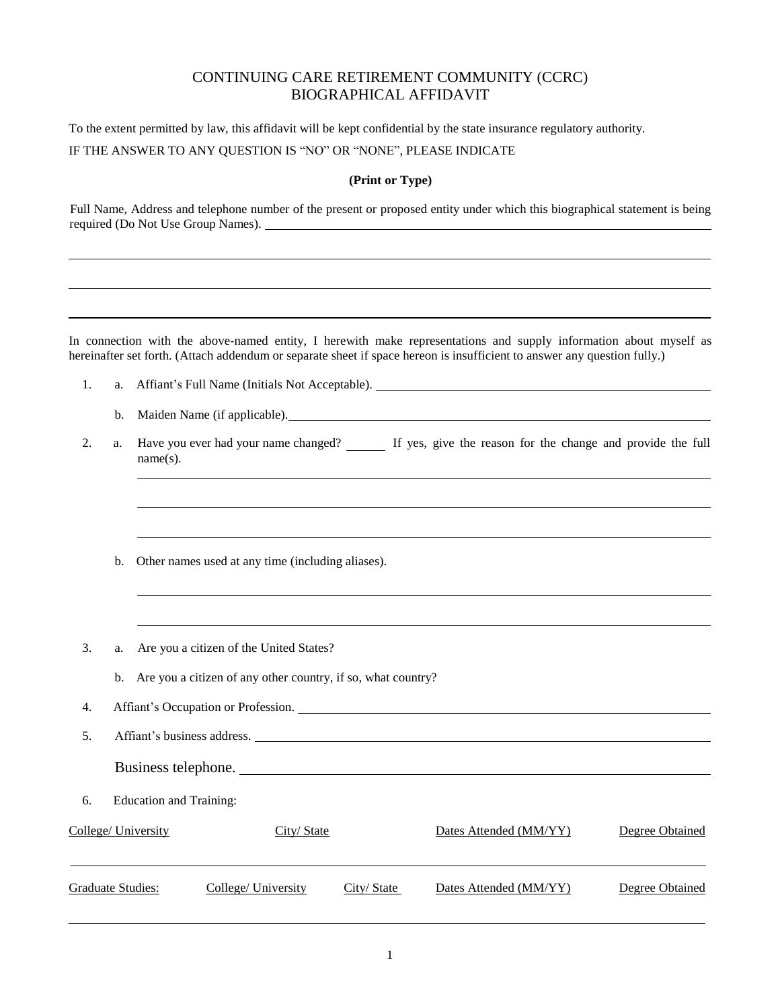## CONTINUING CARE RETIREMENT COMMUNITY (CCRC) BIOGRAPHICAL AFFIDAVIT

To the extent permitted by law, this affidavit will be kept confidential by the state insurance regulatory authority.

IF THE ANSWER TO ANY QUESTION IS "NO" OR "NONE", PLEASE INDICATE

## **(Print or Type)**

Full Name, Address and telephone number of the present or proposed entity under which this biographical statement is being required (Do Not Use Group Names).

In connection with the above-named entity, I herewith make representations and supply information about myself as hereinafter set forth. (Attach addendum or separate sheet if space hereon is insufficient to answer any question fully.)

- 1. a. Affiant's Full Name (Initials Not Acceptable).
	- b. Maiden Name (if applicable).
- 2. a. Have you ever had your name changed? If yes, give the reason for the change and provide the full name(s).
	- b. Other names used at any time (including aliases).
- 3. a. Are you a citizen of the United States?
	- b. Are you a citizen of any other country, if so, what country?
- 4. Affiant's Occupation or Profession.
- 5. Affiant's business address.
	- Business telephone.
- 6. Education and Training:

| College/ University | City/State          |            | Dates Attended (MM/YY) | Degree Obtained |
|---------------------|---------------------|------------|------------------------|-----------------|
| Graduate Studies:   | College/ University | City/State | Dates Attended (MM/YY) | Degree Obtained |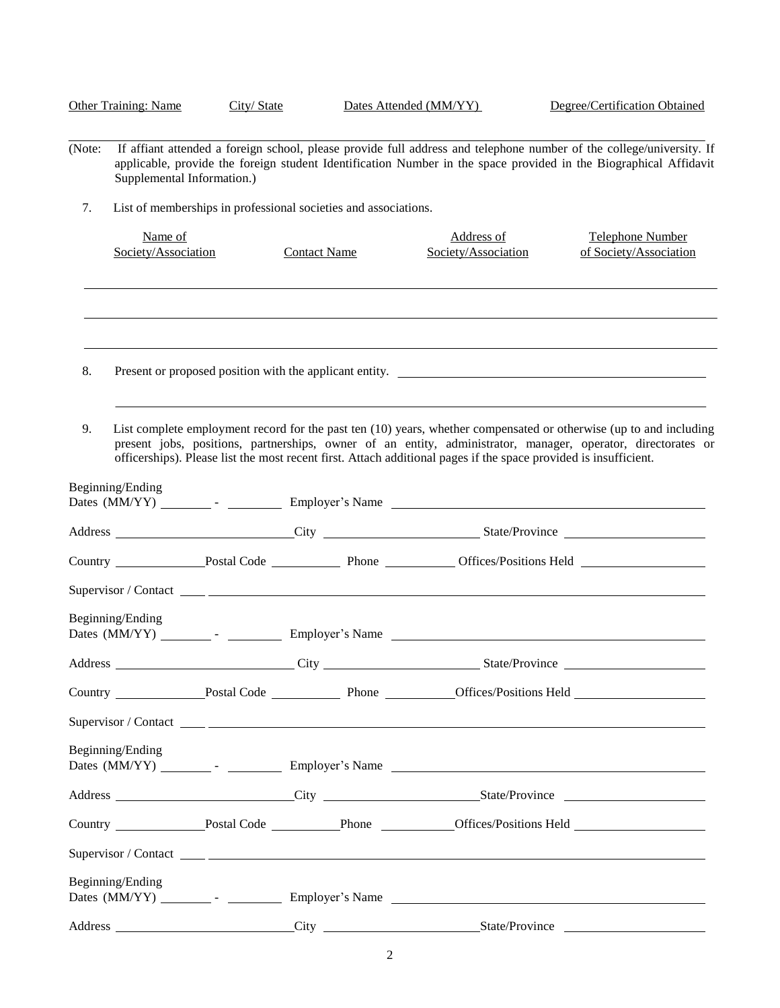|        | <b>Other Training: Name</b>    | City/State |                                                                 | Dates Attended (MM/YY)                                                                                           | Degree/Certification Obtained                                                                                                                                                                                                             |
|--------|--------------------------------|------------|-----------------------------------------------------------------|------------------------------------------------------------------------------------------------------------------|-------------------------------------------------------------------------------------------------------------------------------------------------------------------------------------------------------------------------------------------|
| (Note: | Supplemental Information.)     |            |                                                                 |                                                                                                                  | If affiant attended a foreign school, please provide full address and telephone number of the college/university. If<br>applicable, provide the foreign student Identification Number in the space provided in the Biographical Affidavit |
| 7.     |                                |            | List of memberships in professional societies and associations. |                                                                                                                  |                                                                                                                                                                                                                                           |
|        | Name of<br>Society/Association |            | <b>Contact Name</b>                                             | Address of<br>Society/Association                                                                                | Telephone Number<br>of Society/Association                                                                                                                                                                                                |
|        |                                |            |                                                                 |                                                                                                                  |                                                                                                                                                                                                                                           |
| 8.     |                                |            |                                                                 |                                                                                                                  | Present or proposed position with the applicant entity.                                                                                                                                                                                   |
| 9.     |                                |            |                                                                 | officerships). Please list the most recent first. Attach additional pages if the space provided is insufficient. | List complete employment record for the past ten (10) years, whether compensated or otherwise (up to and including<br>present jobs, positions, partnerships, owner of an entity, administrator, manager, operator, directorates or        |
|        | Beginning/Ending               |            |                                                                 |                                                                                                                  |                                                                                                                                                                                                                                           |
|        |                                |            |                                                                 |                                                                                                                  | Address City City State/Province City State/Province                                                                                                                                                                                      |
|        |                                |            |                                                                 |                                                                                                                  | Country Postal Code Phone Diffices/Positions Held Phone                                                                                                                                                                                   |
|        |                                |            |                                                                 |                                                                                                                  |                                                                                                                                                                                                                                           |
|        | Beginning/Ending               |            |                                                                 |                                                                                                                  |                                                                                                                                                                                                                                           |
|        |                                |            |                                                                 |                                                                                                                  |                                                                                                                                                                                                                                           |
|        |                                |            |                                                                 |                                                                                                                  | Country Postal Code Phone Diffices/Positions Held                                                                                                                                                                                         |
|        |                                |            |                                                                 |                                                                                                                  |                                                                                                                                                                                                                                           |
|        | Beginning/Ending               |            |                                                                 |                                                                                                                  |                                                                                                                                                                                                                                           |
|        |                                |            |                                                                 |                                                                                                                  | Address City City State/Province City State/Province                                                                                                                                                                                      |
|        |                                |            |                                                                 |                                                                                                                  |                                                                                                                                                                                                                                           |
|        |                                |            |                                                                 |                                                                                                                  |                                                                                                                                                                                                                                           |
|        | Beginning/Ending               |            |                                                                 |                                                                                                                  |                                                                                                                                                                                                                                           |
|        |                                |            |                                                                 |                                                                                                                  | Address City City State/Province City                                                                                                                                                                                                     |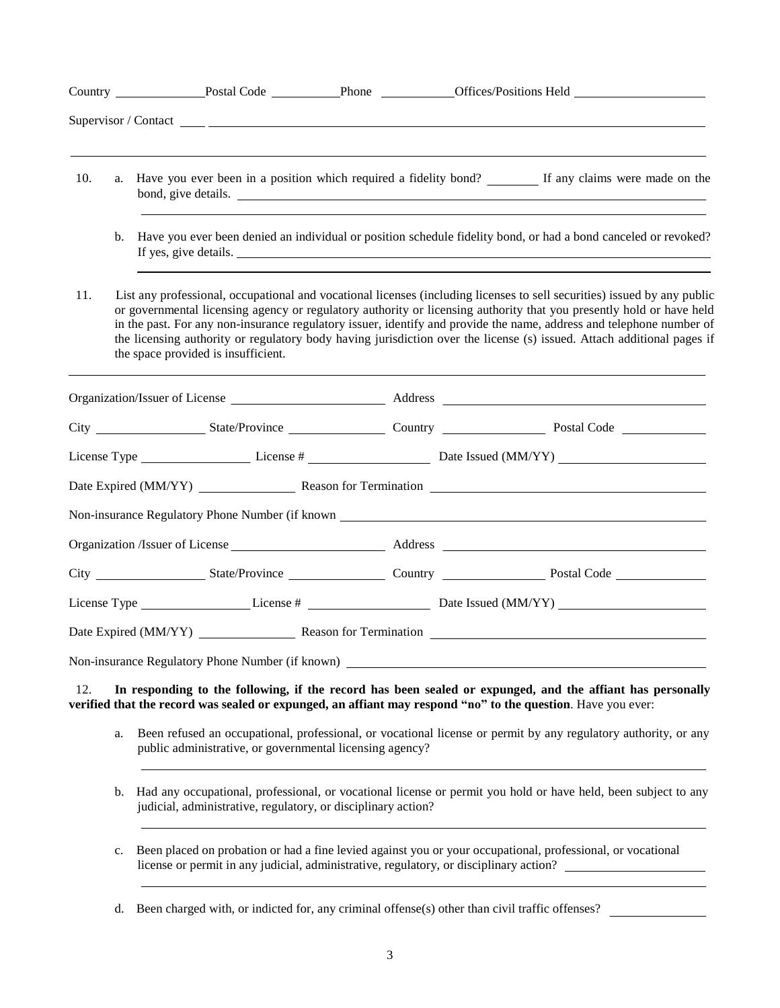|     |    |                                                                                        |  | Country Postal Code Phone Diffices/Positions Held Phone Country Postal Code Phone Phone Country Phone Country                                                                                                                                                                                                                                                                                                                                                                                      |
|-----|----|----------------------------------------------------------------------------------------|--|----------------------------------------------------------------------------------------------------------------------------------------------------------------------------------------------------------------------------------------------------------------------------------------------------------------------------------------------------------------------------------------------------------------------------------------------------------------------------------------------------|
|     |    | Supervisor / Contact $\_\_\_\_$                                                        |  |                                                                                                                                                                                                                                                                                                                                                                                                                                                                                                    |
| 10. | a. |                                                                                        |  | Have you ever been in a position which required a fidelity bond? If any claims were made on the<br>bond, give details.                                                                                                                                                                                                                                                                                                                                                                             |
|     | b. |                                                                                        |  | Have you ever been denied an individual or position schedule fidelity bond, or had a bond canceled or revoked?<br>If yes, give details.                                                                                                                                                                                                                                                                                                                                                            |
| 11. |    | the space provided is insufficient.                                                    |  | List any professional, occupational and vocational licenses (including licenses to sell securities) issued by any public<br>or governmental licensing agency or regulatory authority or licensing authority that you presently hold or have held<br>in the past. For any non-insurance regulatory issuer, identify and provide the name, address and telephone number of<br>the licensing authority or regulatory body having jurisdiction over the license (s) issued. Attach additional pages if |
|     |    |                                                                                        |  |                                                                                                                                                                                                                                                                                                                                                                                                                                                                                                    |
|     |    |                                                                                        |  |                                                                                                                                                                                                                                                                                                                                                                                                                                                                                                    |
|     |    |                                                                                        |  |                                                                                                                                                                                                                                                                                                                                                                                                                                                                                                    |
|     |    |                                                                                        |  |                                                                                                                                                                                                                                                                                                                                                                                                                                                                                                    |
|     |    |                                                                                        |  | Non-insurance Regulatory Phone Number (if known _________________________________                                                                                                                                                                                                                                                                                                                                                                                                                  |
|     |    |                                                                                        |  |                                                                                                                                                                                                                                                                                                                                                                                                                                                                                                    |
|     |    |                                                                                        |  |                                                                                                                                                                                                                                                                                                                                                                                                                                                                                                    |
|     |    |                                                                                        |  |                                                                                                                                                                                                                                                                                                                                                                                                                                                                                                    |
|     |    |                                                                                        |  | Date Expired (MM/YY) Reason for Termination                                                                                                                                                                                                                                                                                                                                                                                                                                                        |
|     |    | Non-insurance Regulatory Phone Number (if known)                                       |  |                                                                                                                                                                                                                                                                                                                                                                                                                                                                                                    |
| 12. |    |                                                                                        |  | In responding to the following, if the record has been sealed or expunged, and the affiant has personally<br>verified that the record was sealed or expunged, an affiant may respond "no" to the question. Have you ever:                                                                                                                                                                                                                                                                          |
|     | a. | public administrative, or governmental licensing agency?                               |  | Been refused an occupational, professional, or vocational license or permit by any regulatory authority, or any                                                                                                                                                                                                                                                                                                                                                                                    |
|     | b. | judicial, administrative, regulatory, or disciplinary action?                          |  | Had any occupational, professional, or vocational license or permit you hold or have held, been subject to any                                                                                                                                                                                                                                                                                                                                                                                     |
|     | c. | license or permit in any judicial, administrative, regulatory, or disciplinary action? |  | Been placed on probation or had a fine levied against you or your occupational, professional, or vocational                                                                                                                                                                                                                                                                                                                                                                                        |

d. Been charged with, or indicted for, any criminal offense(s) other than civil traffic offenses?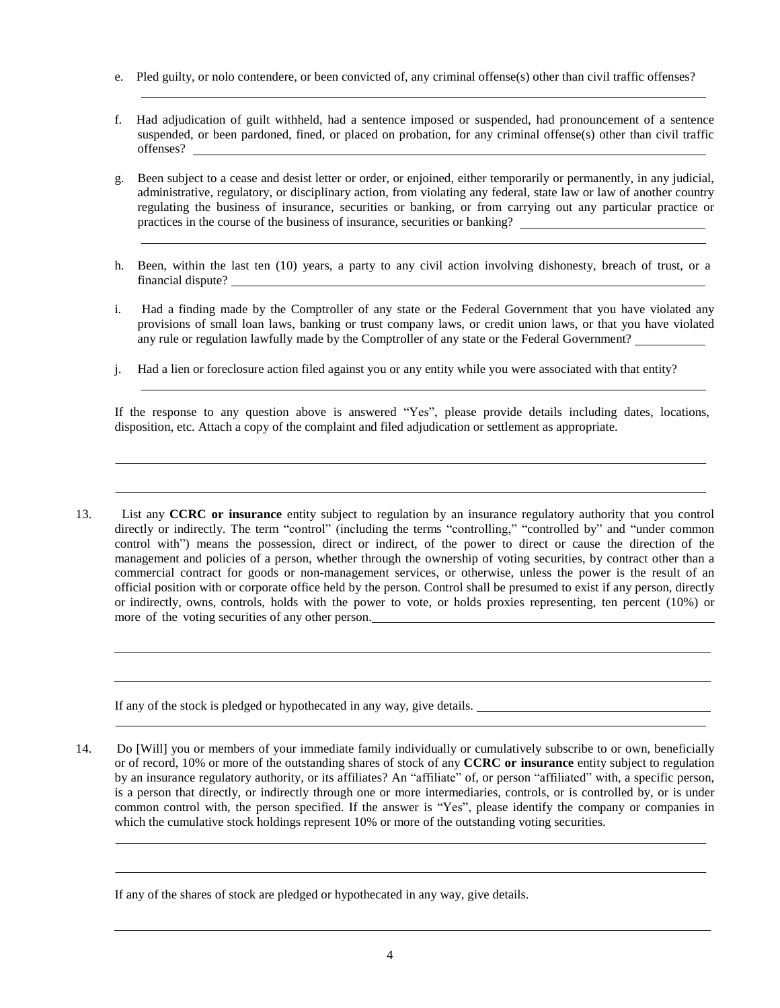- e. Pled guilty, or nolo contendere, or been convicted of, any criminal offense(s) other than civil traffic offenses?
- f. Had adjudication of guilt withheld, had a sentence imposed or suspended, had pronouncement of a sentence suspended, or been pardoned, fined, or placed on probation, for any criminal offense(s) other than civil traffic offenses?
- g. Been subject to a cease and desist letter or order, or enjoined, either temporarily or permanently, in any judicial, administrative, regulatory, or disciplinary action, from violating any federal, state law or law of another country regulating the business of insurance, securities or banking, or from carrying out any particular practice or practices in the course of the business of insurance, securities or banking?
- h. Been, within the last ten (10) years, a party to any civil action involving dishonesty, breach of trust, or a financial dispute?
- i. Had a finding made by the Comptroller of any state or the Federal Government that you have violated any provisions of small loan laws, banking or trust company laws, or credit union laws, or that you have violated any rule or regulation lawfully made by the Comptroller of any state or the Federal Government?
- j. Had a lien or foreclosure action filed against you or any entity while you were associated with that entity?

If the response to any question above is answered "Yes", please provide details including dates, locations, disposition, etc. Attach a copy of the complaint and filed adjudication or settlement as appropriate.

13. List any **CCRC or insurance** entity subject to regulation by an insurance regulatory authority that you control directly or indirectly. The term "control" (including the terms "controlling," "controlled by" and "under common control with") means the possession, direct or indirect, of the power to direct or cause the direction of the management and policies of a person, whether through the ownership of voting securities, by contract other than a commercial contract for goods or non-management services, or otherwise, unless the power is the result of an official position with or corporate office held by the person. Control shall be presumed to exist if any person, directly or indirectly, owns, controls, holds with the power to vote, or holds proxies representing, ten percent (10%) or more of the voting securities of any other person.

If any of the stock is pledged or hypothecated in any way, give details.

14. Do [Will] you or members of your immediate family individually or cumulatively subscribe to or own, beneficially or of record, 10% or more of the outstanding shares of stock of any **CCRC or insurance** entity subject to regulation by an insurance regulatory authority, or its affiliates? An "affiliate" of, or person "affiliated" with, a specific person, is a person that directly, or indirectly through one or more intermediaries, controls, or is controlled by, or is under common control with, the person specified. If the answer is "Yes", please identify the company or companies in which the cumulative stock holdings represent 10% or more of the outstanding voting securities.

If any of the shares of stock are pledged or hypothecated in any way, give details.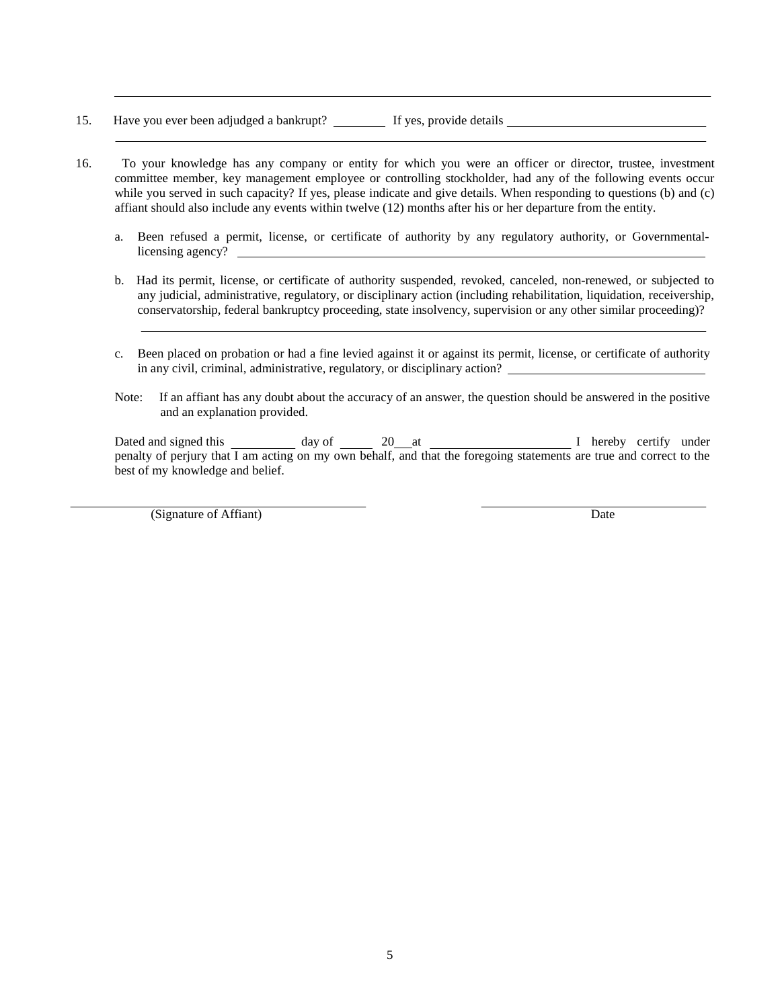- 15. Have you ever been adjudged a bankrupt? If yes, provide details \_\_\_\_\_\_\_\_\_\_\_\_
- 16. To your knowledge has any company or entity for which you were an officer or director, trustee, investment committee member, key management employee or controlling stockholder, had any of the following events occur while you served in such capacity? If yes, please indicate and give details. When responding to questions (b) and (c) affiant should also include any events within twelve (12) months after his or her departure from the entity.
	- a. Been refused a permit, license, or certificate of authority by any regulatory authority, or Governmentallicensing agency?
	- b. Had its permit, license, or certificate of authority suspended, revoked, canceled, non-renewed, or subjected to any judicial, administrative, regulatory, or disciplinary action (including rehabilitation, liquidation, receivership, conservatorship, federal bankruptcy proceeding, state insolvency, supervision or any other similar proceeding)?
	- c. Been placed on probation or had a fine levied against it or against its permit, license, or certificate of authority in any civil, criminal, administrative, regulatory, or disciplinary action?
	- Note: If an affiant has any doubt about the accuracy of an answer, the question should be answered in the positive and an explanation provided.

Dated and signed this day of 20 at I hereby certify under penalty of perjury that I am acting on my own behalf, and that the foregoing statements are true and correct to the best of my knowledge and belief.

(Signature of Affiant) Date